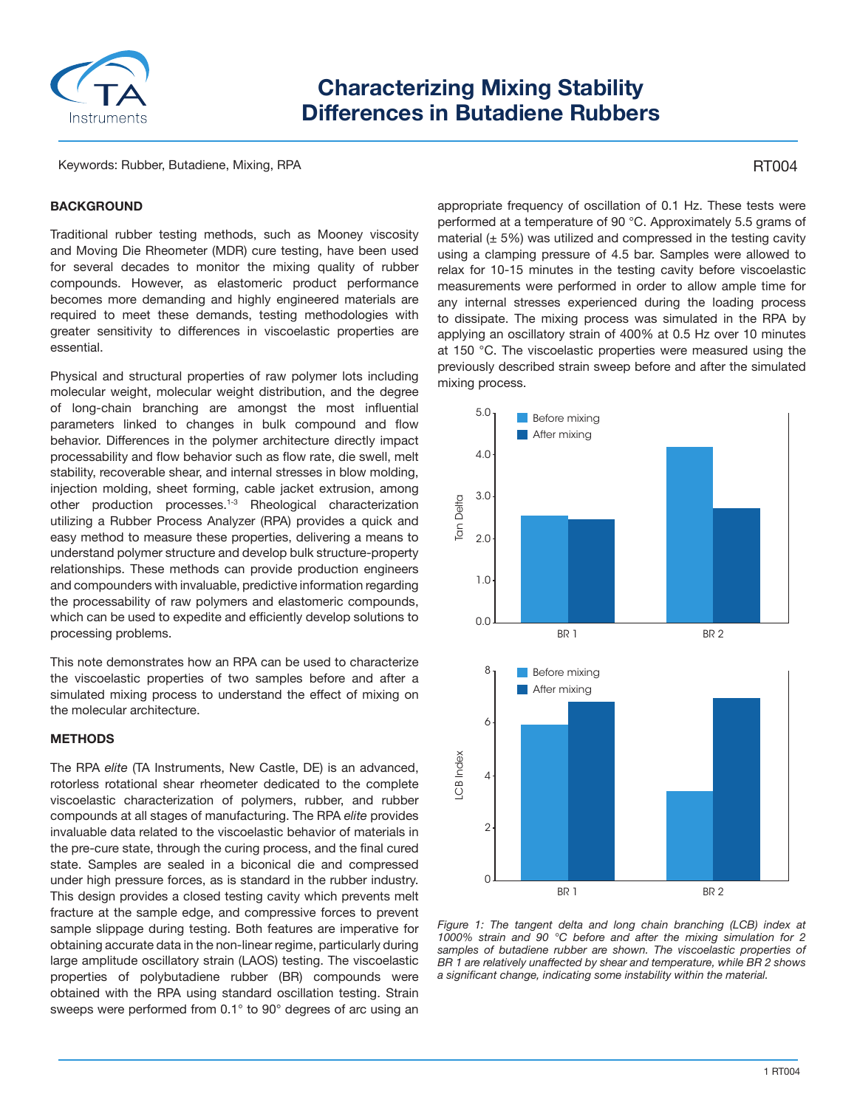

# **Characterizing Mixing Stability Differences in Butadiene Rubbers**

Keywords: Rubber, Butadiene, Mixing, RPA

# RT004

## **BACKGROUND**

Traditional rubber testing methods, such as Mooney viscosity and Moving Die Rheometer (MDR) cure testing, have been used for several decades to monitor the mixing quality of rubber compounds. However, as elastomeric product performance becomes more demanding and highly engineered materials are required to meet these demands, testing methodologies with greater sensitivity to differences in viscoelastic properties are essential.

Physical and structural properties of raw polymer lots including molecular weight, molecular weight distribution, and the degree of long-chain branching are amongst the most influential parameters linked to changes in bulk compound and flow behavior. Differences in the polymer architecture directly impact processability and flow behavior such as flow rate, die swell, melt stability, recoverable shear, and internal stresses in blow molding, injection molding, sheet forming, cable jacket extrusion, among other production processes.1-3 Rheological characterization utilizing a Rubber Process Analyzer (RPA) provides a quick and easy method to measure these properties, delivering a means to understand polymer structure and develop bulk structure-property relationships. These methods can provide production engineers and compounders with invaluable, predictive information regarding the processability of raw polymers and elastomeric compounds, which can be used to expedite and efficiently develop solutions to processing problems.

This note demonstrates how an RPA can be used to characterize the viscoelastic properties of two samples before and after a simulated mixing process to understand the effect of mixing on the molecular architecture.

#### **METHODS**

The RPA *elite* (TA Instruments, New Castle, DE) is an advanced, rotorless rotational shear rheometer dedicated to the complete viscoelastic characterization of polymers, rubber, and rubber compounds at all stages of manufacturing. The RPA *elite* provides invaluable data related to the viscoelastic behavior of materials in the pre-cure state, through the curing process, and the final cured state. Samples are sealed in a biconical die and compressed under high pressure forces, as is standard in the rubber industry. This design provides a closed testing cavity which prevents melt fracture at the sample edge, and compressive forces to prevent sample slippage during testing. Both features are imperative for obtaining accurate data in the non-linear regime, particularly during large amplitude oscillatory strain (LAOS) testing. The viscoelastic properties of polybutadiene rubber (BR) compounds were obtained with the RPA using standard oscillation testing. Strain sweeps were performed from 0.1° to 90° degrees of arc using an

appropriate frequency of oscillation of 0.1 Hz. These tests were performed at a temperature of 90 °C. Approximately 5.5 grams of material  $(± 5%)$  was utilized and compressed in the testing cavity using a clamping pressure of 4.5 bar. Samples were allowed to relax for 10-15 minutes in the testing cavity before viscoelastic measurements were performed in order to allow ample time for any internal stresses experienced during the loading process to dissipate. The mixing process was simulated in the RPA by applying an oscillatory strain of 400% at 0.5 Hz over 10 minutes at 150 °C. The viscoelastic properties were measured using the previously described strain sweep before and after the simulated mixing process.



*Figure 1: The tangent delta and long chain branching (LCB) index at 1000% strain and 90 °C before and after the mixing simulation for 2 samples of butadiene rubber are shown. The viscoelastic properties of BR 1 are relatively unaffected by shear and temperature, while BR 2 shows*